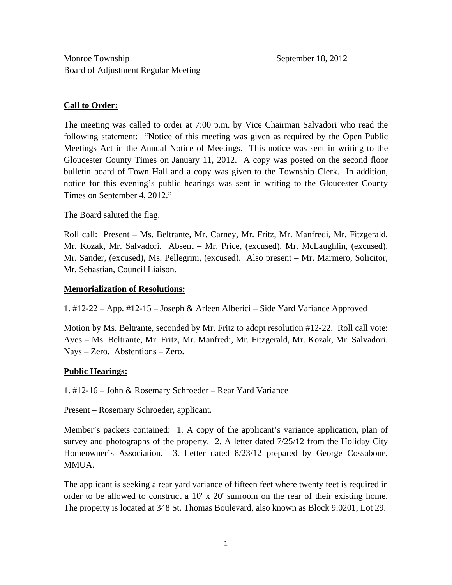## **Call to Order:**

The meeting was called to order at 7:00 p.m. by Vice Chairman Salvadori who read the following statement: "Notice of this meeting was given as required by the Open Public Meetings Act in the Annual Notice of Meetings. This notice was sent in writing to the Gloucester County Times on January 11, 2012. A copy was posted on the second floor bulletin board of Town Hall and a copy was given to the Township Clerk. In addition, notice for this evening's public hearings was sent in writing to the Gloucester County Times on September 4, 2012."

The Board saluted the flag.

Roll call: Present – Ms. Beltrante, Mr. Carney, Mr. Fritz, Mr. Manfredi, Mr. Fitzgerald, Mr. Kozak, Mr. Salvadori. Absent – Mr. Price, (excused), Mr. McLaughlin, (excused), Mr. Sander, (excused), Ms. Pellegrini, (excused). Also present – Mr. Marmero, Solicitor, Mr. Sebastian, Council Liaison.

## **Memorialization of Resolutions:**

1. #12-22 – App. #12-15 – Joseph & Arleen Alberici – Side Yard Variance Approved

Motion by Ms. Beltrante, seconded by Mr. Fritz to adopt resolution #12-22. Roll call vote: Ayes – Ms. Beltrante, Mr. Fritz, Mr. Manfredi, Mr. Fitzgerald, Mr. Kozak, Mr. Salvadori. Nays – Zero. Abstentions – Zero.

# **Public Hearings:**

1. #12-16 – John & Rosemary Schroeder – Rear Yard Variance

Present – Rosemary Schroeder, applicant.

Member's packets contained: 1. A copy of the applicant's variance application, plan of survey and photographs of the property. 2. A letter dated  $7/25/12$  from the Holiday City Homeowner's Association. 3. Letter dated 8/23/12 prepared by George Cossabone, **MMUA**.

The applicant is seeking a rear yard variance of fifteen feet where twenty feet is required in order to be allowed to construct a 10' x 20' sunroom on the rear of their existing home. The property is located at 348 St. Thomas Boulevard, also known as Block 9.0201, Lot 29.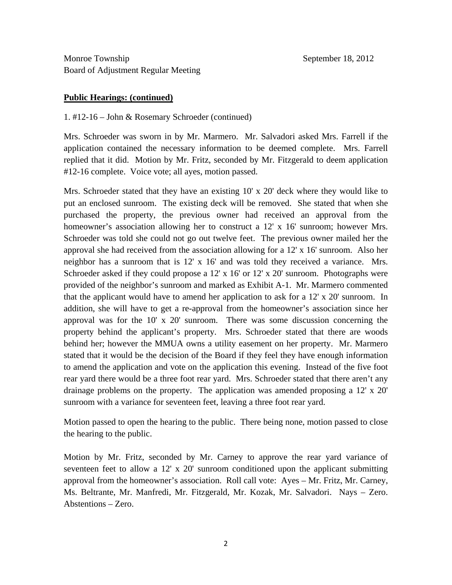#### **Public Hearings: (continued)**

#### 1. #12-16 – John & Rosemary Schroeder (continued)

Mrs. Schroeder was sworn in by Mr. Marmero. Mr. Salvadori asked Mrs. Farrell if the application contained the necessary information to be deemed complete. Mrs. Farrell replied that it did. Motion by Mr. Fritz, seconded by Mr. Fitzgerald to deem application #12-16 complete. Voice vote; all ayes, motion passed.

Mrs. Schroeder stated that they have an existing 10' x 20' deck where they would like to put an enclosed sunroom. The existing deck will be removed. She stated that when she purchased the property, the previous owner had received an approval from the homeowner's association allowing her to construct a 12' x 16' sunroom; however Mrs. Schroeder was told she could not go out twelve feet. The previous owner mailed her the approval she had received from the association allowing for a 12' x 16' sunroom. Also her neighbor has a sunroom that is 12' x 16' and was told they received a variance. Mrs. Schroeder asked if they could propose a 12' x 16' or 12' x 20' sunroom. Photographs were provided of the neighbor's sunroom and marked as Exhibit A-1. Mr. Marmero commented that the applicant would have to amend her application to ask for a 12' x 20' sunroom. In addition, she will have to get a re-approval from the homeowner's association since her approval was for the 10' x 20' sunroom. There was some discussion concerning the property behind the applicant's property. Mrs. Schroeder stated that there are woods behind her; however the MMUA owns a utility easement on her property. Mr. Marmero stated that it would be the decision of the Board if they feel they have enough information to amend the application and vote on the application this evening. Instead of the five foot rear yard there would be a three foot rear yard. Mrs. Schroeder stated that there aren't any drainage problems on the property. The application was amended proposing a 12' x 20' sunroom with a variance for seventeen feet, leaving a three foot rear yard.

Motion passed to open the hearing to the public. There being none, motion passed to close the hearing to the public.

Motion by Mr. Fritz, seconded by Mr. Carney to approve the rear yard variance of seventeen feet to allow a 12' x 20' sunroom conditioned upon the applicant submitting approval from the homeowner's association. Roll call vote: Ayes – Mr. Fritz, Mr. Carney, Ms. Beltrante, Mr. Manfredi, Mr. Fitzgerald, Mr. Kozak, Mr. Salvadori. Nays – Zero. Abstentions – Zero.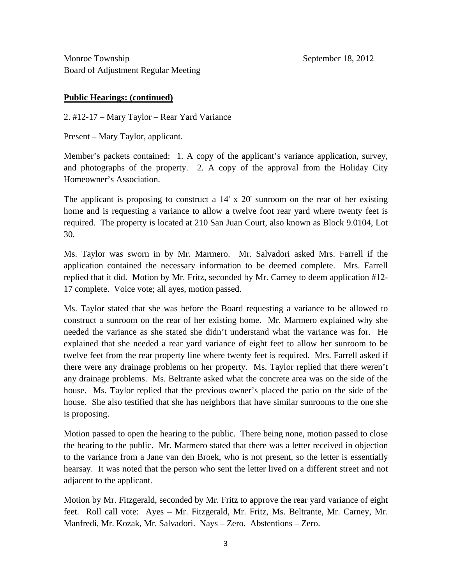## **Public Hearings: (continued)**

2. #12-17 – Mary Taylor – Rear Yard Variance

Present – Mary Taylor, applicant.

Member's packets contained: 1. A copy of the applicant's variance application, survey, and photographs of the property. 2. A copy of the approval from the Holiday City Homeowner's Association.

The applicant is proposing to construct a 14' x 20' sunroom on the rear of her existing home and is requesting a variance to allow a twelve foot rear yard where twenty feet is required. The property is located at 210 San Juan Court, also known as Block 9.0104, Lot 30.

Ms. Taylor was sworn in by Mr. Marmero. Mr. Salvadori asked Mrs. Farrell if the application contained the necessary information to be deemed complete. Mrs. Farrell replied that it did. Motion by Mr. Fritz, seconded by Mr. Carney to deem application #12- 17 complete. Voice vote; all ayes, motion passed.

Ms. Taylor stated that she was before the Board requesting a variance to be allowed to construct a sunroom on the rear of her existing home. Mr. Marmero explained why she needed the variance as she stated she didn't understand what the variance was for. He explained that she needed a rear yard variance of eight feet to allow her sunroom to be twelve feet from the rear property line where twenty feet is required. Mrs. Farrell asked if there were any drainage problems on her property. Ms. Taylor replied that there weren't any drainage problems. Ms. Beltrante asked what the concrete area was on the side of the house. Ms. Taylor replied that the previous owner's placed the patio on the side of the house. She also testified that she has neighbors that have similar sunrooms to the one she is proposing.

Motion passed to open the hearing to the public. There being none, motion passed to close the hearing to the public. Mr. Marmero stated that there was a letter received in objection to the variance from a Jane van den Broek, who is not present, so the letter is essentially hearsay. It was noted that the person who sent the letter lived on a different street and not adjacent to the applicant.

Motion by Mr. Fitzgerald, seconded by Mr. Fritz to approve the rear yard variance of eight feet. Roll call vote: Ayes – Mr. Fitzgerald, Mr. Fritz, Ms. Beltrante, Mr. Carney, Mr. Manfredi, Mr. Kozak, Mr. Salvadori. Nays – Zero. Abstentions – Zero.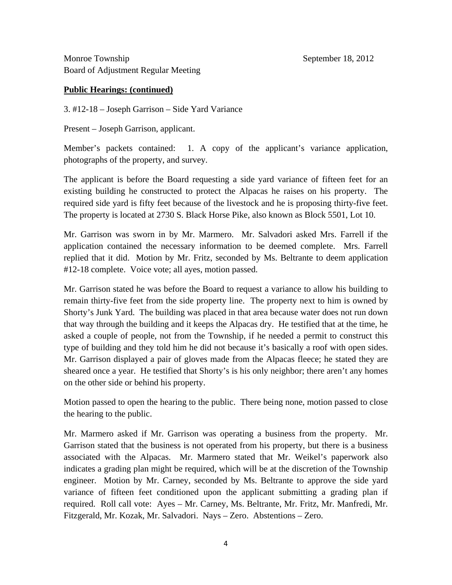## **Public Hearings: (continued)**

3. #12-18 – Joseph Garrison – Side Yard Variance

Present – Joseph Garrison, applicant.

Member's packets contained: 1. A copy of the applicant's variance application, photographs of the property, and survey.

The applicant is before the Board requesting a side yard variance of fifteen feet for an existing building he constructed to protect the Alpacas he raises on his property. The required side yard is fifty feet because of the livestock and he is proposing thirty-five feet. The property is located at 2730 S. Black Horse Pike, also known as Block 5501, Lot 10.

Mr. Garrison was sworn in by Mr. Marmero. Mr. Salvadori asked Mrs. Farrell if the application contained the necessary information to be deemed complete. Mrs. Farrell replied that it did. Motion by Mr. Fritz, seconded by Ms. Beltrante to deem application #12-18 complete. Voice vote; all ayes, motion passed.

Mr. Garrison stated he was before the Board to request a variance to allow his building to remain thirty-five feet from the side property line. The property next to him is owned by Shorty's Junk Yard. The building was placed in that area because water does not run down that way through the building and it keeps the Alpacas dry. He testified that at the time, he asked a couple of people, not from the Township, if he needed a permit to construct this type of building and they told him he did not because it's basically a roof with open sides. Mr. Garrison displayed a pair of gloves made from the Alpacas fleece; he stated they are sheared once a year. He testified that Shorty's is his only neighbor; there aren't any homes on the other side or behind his property.

Motion passed to open the hearing to the public. There being none, motion passed to close the hearing to the public.

Mr. Marmero asked if Mr. Garrison was operating a business from the property. Mr. Garrison stated that the business is not operated from his property, but there is a business associated with the Alpacas. Mr. Marmero stated that Mr. Weikel's paperwork also indicates a grading plan might be required, which will be at the discretion of the Township engineer. Motion by Mr. Carney, seconded by Ms. Beltrante to approve the side yard variance of fifteen feet conditioned upon the applicant submitting a grading plan if required. Roll call vote: Ayes – Mr. Carney, Ms. Beltrante, Mr. Fritz, Mr. Manfredi, Mr. Fitzgerald, Mr. Kozak, Mr. Salvadori. Nays – Zero. Abstentions – Zero.